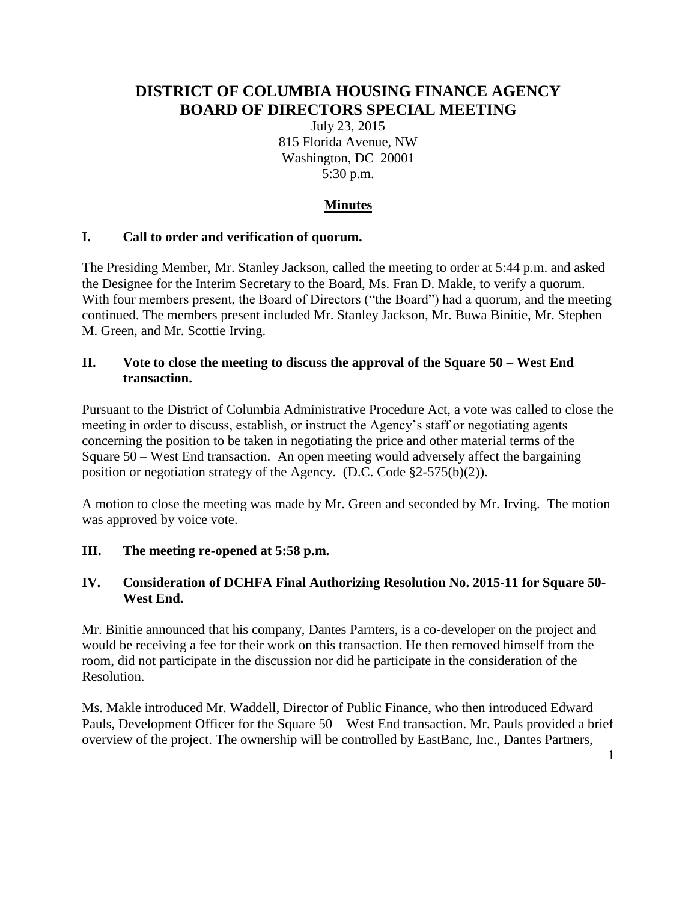# **DISTRICT OF COLUMBIA HOUSING FINANCE AGENCY BOARD OF DIRECTORS SPECIAL MEETING**

July 23, 2015 815 Florida Avenue, NW Washington, DC 20001 5:30 p.m.

# **Minutes**

## **I. Call to order and verification of quorum.**

The Presiding Member, Mr. Stanley Jackson, called the meeting to order at 5:44 p.m. and asked the Designee for the Interim Secretary to the Board, Ms. Fran D. Makle, to verify a quorum. With four members present, the Board of Directors ("the Board") had a quorum, and the meeting continued. The members present included Mr. Stanley Jackson, Mr. Buwa Binitie, Mr. Stephen M. Green, and Mr. Scottie Irving.

#### **II. Vote to close the meeting to discuss the approval of the Square 50 – West End transaction.**

Pursuant to the District of Columbia Administrative Procedure Act, a vote was called to close the meeting in order to discuss, establish, or instruct the Agency's staff or negotiating agents concerning the position to be taken in negotiating the price and other material terms of the Square 50 – West End transaction. An open meeting would adversely affect the bargaining position or negotiation strategy of the Agency. (D.C. Code §2-575(b)(2)).

A motion to close the meeting was made by Mr. Green and seconded by Mr. Irving. The motion was approved by voice vote.

## **III. The meeting re-opened at 5:58 p.m.**

## **IV. Consideration of DCHFA Final Authorizing Resolution No. 2015-11 for Square 50- West End.**

Mr. Binitie announced that his company, Dantes Parnters, is a co-developer on the project and would be receiving a fee for their work on this transaction. He then removed himself from the room, did not participate in the discussion nor did he participate in the consideration of the Resolution.

Ms. Makle introduced Mr. Waddell, Director of Public Finance, who then introduced Edward Pauls, Development Officer for the Square 50 – West End transaction. Mr. Pauls provided a brief overview of the project. The ownership will be controlled by EastBanc, Inc., Dantes Partners,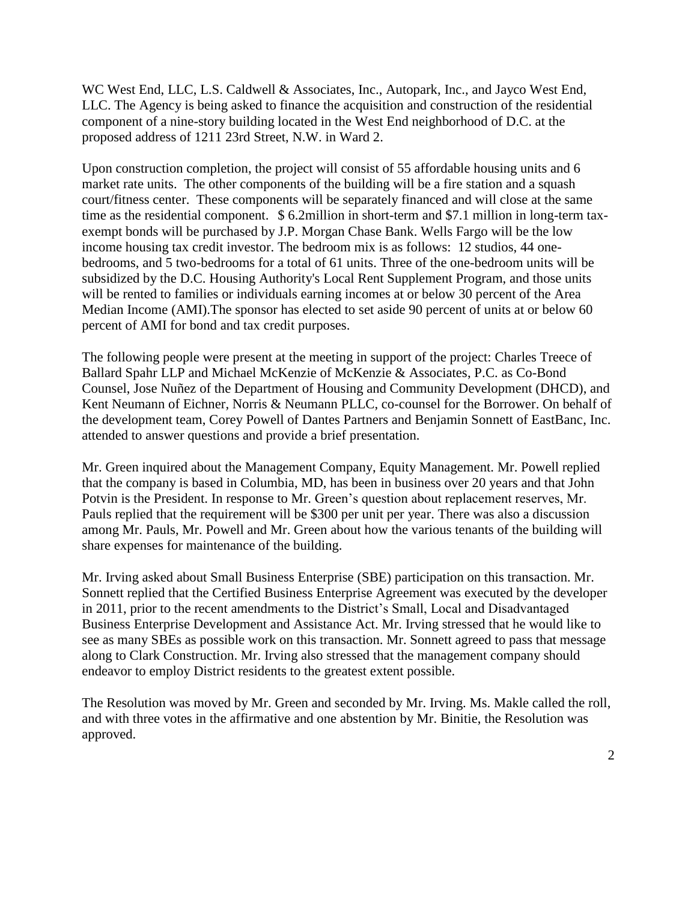WC West End, LLC, L.S. Caldwell & Associates, Inc., Autopark, Inc., and Jayco West End, LLC. The Agency is being asked to finance the acquisition and construction of the residential component of a nine-story building located in the West End neighborhood of D.C. at the proposed address of 1211 23rd Street, N.W. in Ward 2.

Upon construction completion, the project will consist of 55 affordable housing units and 6 market rate units. The other components of the building will be a fire station and a squash court/fitness center. These components will be separately financed and will close at the same time as the residential component. \$6.2million in short-term and \$7.1 million in long-term taxexempt bonds will be purchased by J.P. Morgan Chase Bank. Wells Fargo will be the low income housing tax credit investor. The bedroom mix is as follows: 12 studios, 44 onebedrooms, and 5 two-bedrooms for a total of 61 units. Three of the one-bedroom units will be subsidized by the D.C. Housing Authority's Local Rent Supplement Program, and those units will be rented to families or individuals earning incomes at or below 30 percent of the Area Median Income (AMI).The sponsor has elected to set aside 90 percent of units at or below 60 percent of AMI for bond and tax credit purposes.

The following people were present at the meeting in support of the project: Charles Treece of Ballard Spahr LLP and Michael McKenzie of McKenzie & Associates, P.C. as Co-Bond Counsel, Jose Nuñez of the Department of Housing and Community Development (DHCD), and Kent Neumann of Eichner, Norris & Neumann PLLC, co-counsel for the Borrower. On behalf of the development team, Corey Powell of Dantes Partners and Benjamin Sonnett of EastBanc, Inc. attended to answer questions and provide a brief presentation.

Mr. Green inquired about the Management Company, Equity Management. Mr. Powell replied that the company is based in Columbia, MD, has been in business over 20 years and that John Potvin is the President. In response to Mr. Green's question about replacement reserves, Mr. Pauls replied that the requirement will be \$300 per unit per year. There was also a discussion among Mr. Pauls, Mr. Powell and Mr. Green about how the various tenants of the building will share expenses for maintenance of the building.

Mr. Irving asked about Small Business Enterprise (SBE) participation on this transaction. Mr. Sonnett replied that the Certified Business Enterprise Agreement was executed by the developer in 2011, prior to the recent amendments to the District's Small, Local and Disadvantaged Business Enterprise Development and Assistance Act. Mr. Irving stressed that he would like to see as many SBEs as possible work on this transaction. Mr. Sonnett agreed to pass that message along to Clark Construction. Mr. Irving also stressed that the management company should endeavor to employ District residents to the greatest extent possible.

The Resolution was moved by Mr. Green and seconded by Mr. Irving. Ms. Makle called the roll, and with three votes in the affirmative and one abstention by Mr. Binitie, the Resolution was approved.